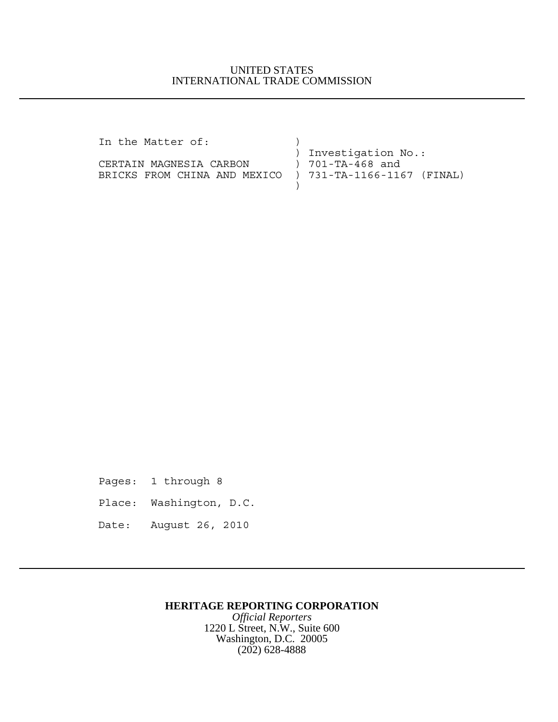### UNITED STATES INTERNATIONAL TRADE COMMISSION

| In the Matter of:                                       |                      |
|---------------------------------------------------------|----------------------|
|                                                         | ) Investigation No.: |
| CERTAIN MAGNESIA CARBON                                 | ) 701-TA-468 and     |
| BRICKS FROM CHINA AND MEXICO ) 731-TA-1166-1167 (FINAL) |                      |
|                                                         |                      |

Pages: 1 through 8 Place: Washington, D.C. Date: August 26, 2010

# **HERITAGE REPORTING CORPORATION**

*Official Reporters* 1220 L Street, N.W., Suite 600 Washington, D.C. 20005 (202) 628-4888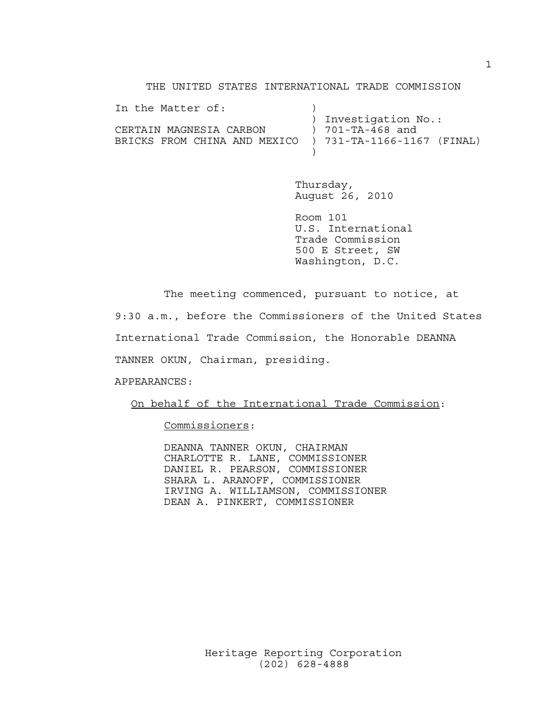### THE UNITED STATES INTERNATIONAL TRADE COMMISSION

| In the Matter of:                                         |                      |
|-----------------------------------------------------------|----------------------|
|                                                           | ) Investigation No.: |
| CERTAIN MAGNESIA CARBON                                   | ) 701-TA-468 and     |
| BRICKS FROM CHINA AND MEXICO   ) 731-TA-1166-1167 (FINAL) |                      |
|                                                           |                      |

Thursday, August 26, 2010

Room 101 U.S. International Trade Commission 500 E Street, SW Washington, D.C.

The meeting commenced, pursuant to notice, at

9:30 a.m., before the Commissioners of the United States

International Trade Commission, the Honorable DEANNA

TANNER OKUN, Chairman, presiding.

APPEARANCES:

On behalf of the International Trade Commission:

Commissioners:

DEANNA TANNER OKUN, CHAIRMAN CHARLOTTE R. LANE, COMMISSIONER DANIEL R. PEARSON, COMMISSIONER SHARA L. ARANOFF, COMMISSIONER IRVING A. WILLIAMSON, COMMISSIONER DEAN A. PINKERT, COMMISSIONER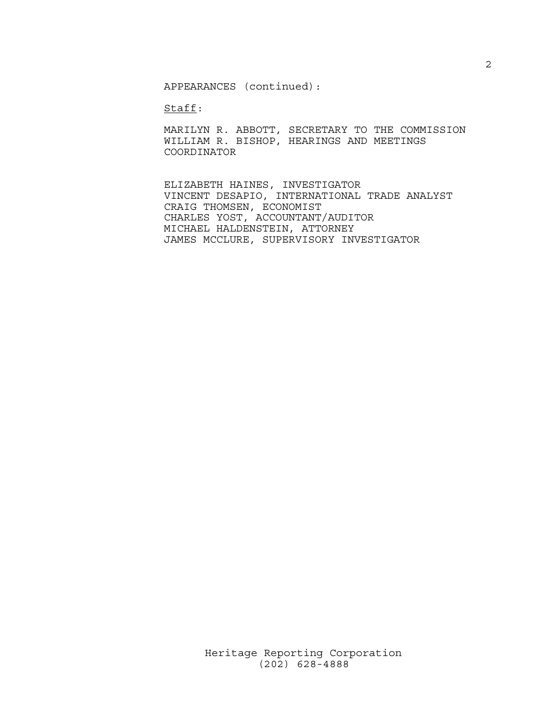APPEARANCES (continued):

Staff:

MARILYN R. ABBOTT, SECRETARY TO THE COMMISSION WILLIAM R. BISHOP, HEARINGS AND MEETINGS COORDINATOR

ELIZABETH HAINES, INVESTIGATOR VINCENT DESAPIO, INTERNATIONAL TRADE ANALYST CRAIG THOMSEN, ECONOMIST CHARLES YOST, ACCOUNTANT/AUDITOR MICHAEL HALDENSTEIN, ATTORNEY JAMES MCCLURE, SUPERVISORY INVESTIGATOR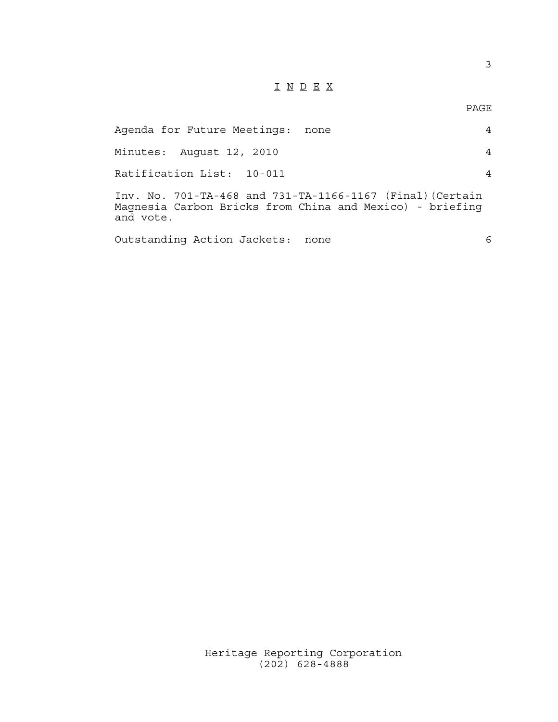# I N D E X

| Agenda for Future Meetings:<br>none                                                                                                | 4 |
|------------------------------------------------------------------------------------------------------------------------------------|---|
| Minutes: August 12, 2010                                                                                                           | 4 |
| Ratification List: 10-011                                                                                                          | 4 |
| Inv. No. 701-TA-468 and 731-TA-1166-1167 (Final) (Certain<br>Magnesia Carbon Bricks from China and Mexico) - briefing<br>and vote. |   |
| Outstanding Action Jackets:<br>none                                                                                                | 6 |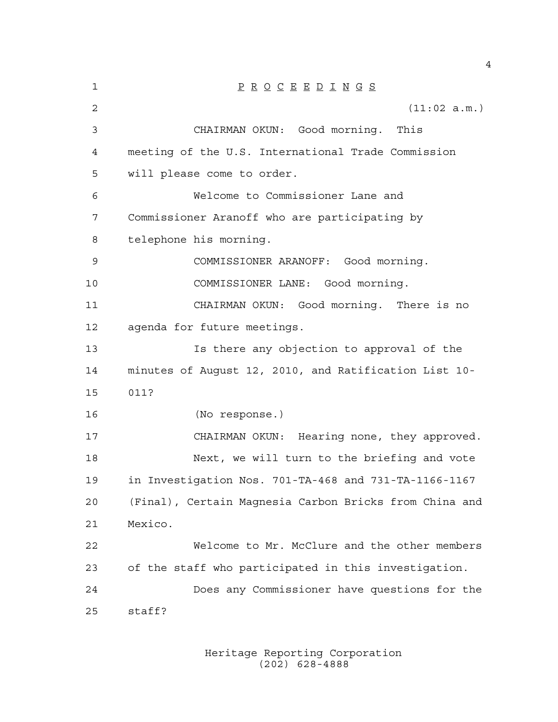| $\mathbf 1$    | $\underline{P} \underline{R} \underline{O} \underline{C} \underline{E} \underline{E} \underline{D} \underline{I} \underline{N} \underline{G} \underline{S}$ |
|----------------|-------------------------------------------------------------------------------------------------------------------------------------------------------------|
| $\overline{2}$ | (11:02 a.m.)                                                                                                                                                |
| 3              | CHAIRMAN OKUN: Good morning.<br>This                                                                                                                        |
| 4              | meeting of the U.S. International Trade Commission                                                                                                          |
| 5              | will please come to order.                                                                                                                                  |
| 6              | Welcome to Commissioner Lane and                                                                                                                            |
| 7              | Commissioner Aranoff who are participating by                                                                                                               |
| 8              | telephone his morning.                                                                                                                                      |
| 9              | COMMISSIONER ARANOFF: Good morning.                                                                                                                         |
| 10             | COMMISSIONER LANE: Good morning.                                                                                                                            |
| 11             | CHAIRMAN OKUN: Good morning. There is no                                                                                                                    |
| 12             | agenda for future meetings.                                                                                                                                 |
| 13             | Is there any objection to approval of the                                                                                                                   |
| 14             | minutes of August 12, 2010, and Ratification List 10-                                                                                                       |
| 15             | 011?                                                                                                                                                        |
| 16             | (No response.)                                                                                                                                              |
| 17             | CHAIRMAN OKUN: Hearing none, they approved.                                                                                                                 |
| 18             | Next, we will turn to the briefing and vote                                                                                                                 |
| 19             | in Investigation Nos. 701-TA-468 and 731-TA-1166-1167                                                                                                       |
| 20             | (Final), Certain Magnesia Carbon Bricks from China and                                                                                                      |
| 21             | Mexico.                                                                                                                                                     |
| 22             | Welcome to Mr. McClure and the other members                                                                                                                |
| 23             | of the staff who participated in this investigation.                                                                                                        |
| 24             | Does any Commissioner have questions for the                                                                                                                |
| 25             | staff?                                                                                                                                                      |

Heritage Reporting Corporation (202) 628-4888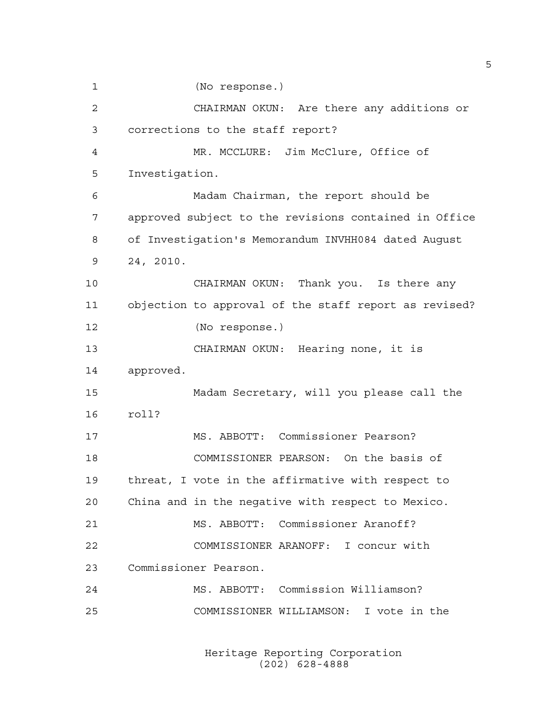(No response.) CHAIRMAN OKUN: Are there any additions or corrections to the staff report? MR. MCCLURE: Jim McClure, Office of Investigation. Madam Chairman, the report should be approved subject to the revisions contained in Office of Investigation's Memorandum INVHH084 dated August 24, 2010. CHAIRMAN OKUN: Thank you. Is there any objection to approval of the staff report as revised? (No response.) CHAIRMAN OKUN: Hearing none, it is approved. Madam Secretary, will you please call the roll? MS. ABBOTT: Commissioner Pearson? COMMISSIONER PEARSON: On the basis of threat, I vote in the affirmative with respect to China and in the negative with respect to Mexico. MS. ABBOTT: Commissioner Aranoff? COMMISSIONER ARANOFF: I concur with Commissioner Pearson. MS. ABBOTT: Commission Williamson? COMMISSIONER WILLIAMSON: I vote in the

> Heritage Reporting Corporation (202) 628-4888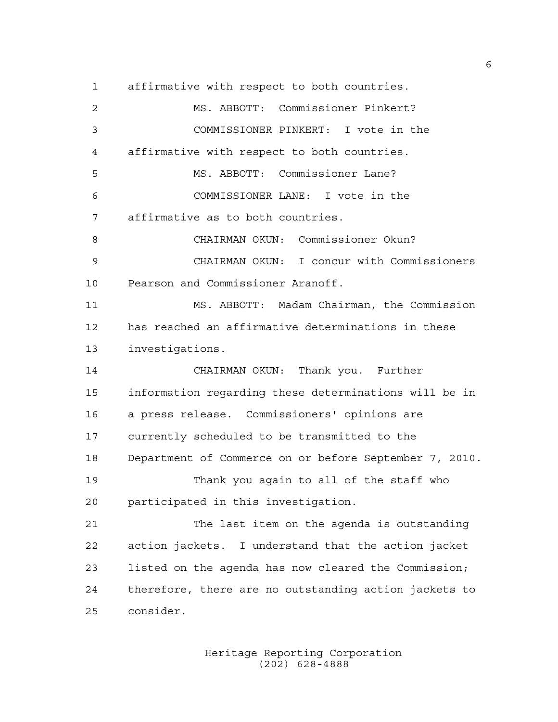affirmative with respect to both countries. MS. ABBOTT: Commissioner Pinkert? COMMISSIONER PINKERT: I vote in the affirmative with respect to both countries. MS. ABBOTT: Commissioner Lane? COMMISSIONER LANE: I vote in the affirmative as to both countries. CHAIRMAN OKUN: Commissioner Okun? CHAIRMAN OKUN: I concur with Commissioners Pearson and Commissioner Aranoff. MS. ABBOTT: Madam Chairman, the Commission has reached an affirmative determinations in these investigations. CHAIRMAN OKUN: Thank you. Further information regarding these determinations will be in a press release. Commissioners' opinions are currently scheduled to be transmitted to the Department of Commerce on or before September 7, 2010. Thank you again to all of the staff who participated in this investigation. The last item on the agenda is outstanding action jackets. I understand that the action jacket listed on the agenda has now cleared the Commission; therefore, there are no outstanding action jackets to consider.

> Heritage Reporting Corporation (202) 628-4888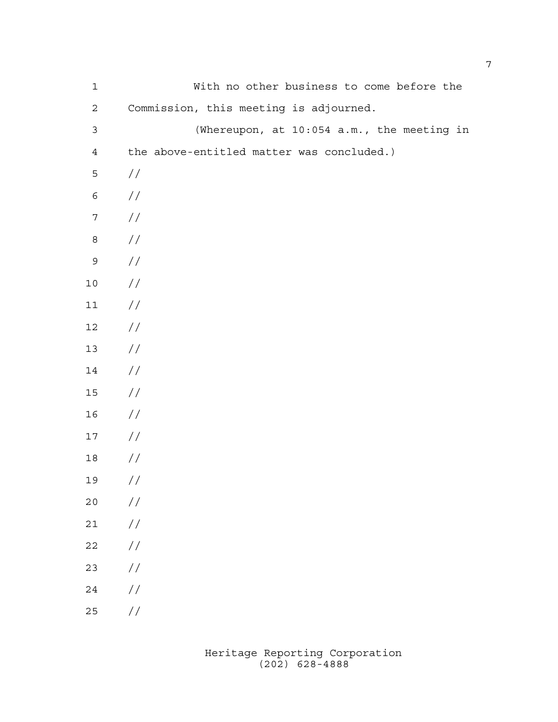| $\mathbf 1$      | With no other business to come before the  |
|------------------|--------------------------------------------|
| $\mathbf{2}$     | Commission, this meeting is adjourned.     |
| $\mathfrak{Z}$   | (Whereupon, at 10:054 a.m., the meeting in |
| $\overline{4}$   | the above-entitled matter was concluded.)  |
| 5                | $\frac{1}{2}$                              |
| $\epsilon$       | $\frac{1}{2}$                              |
| $\boldsymbol{7}$ | $\sqrt{}$                                  |
| $\,8\,$          | $\sqrt{}$                                  |
| 9                | $\sqrt{}$                                  |
| $10$             | $\frac{1}{2}$                              |
| $11$             | $\frac{1}{2}$                              |
| $12\,$           | $\frac{1}{2}$                              |
| $13$             | $\frac{1}{2}$                              |
| $14\,$           | $\frac{1}{2}$                              |
| $15$             | $\frac{1}{2}$                              |
| 16               | $\frac{1}{2}$                              |
| $17\,$           | $\frac{1}{2}$                              |
| 18               | //                                         |
| 19               | //                                         |
| 20               | $\frac{1}{2}$                              |
| 21               | $\!/\!$                                    |
| 22               | $\!/\!$                                    |
| 23               | $\!/\!$                                    |
| 24               | $\sqrt{}$                                  |
| 25               | //                                         |